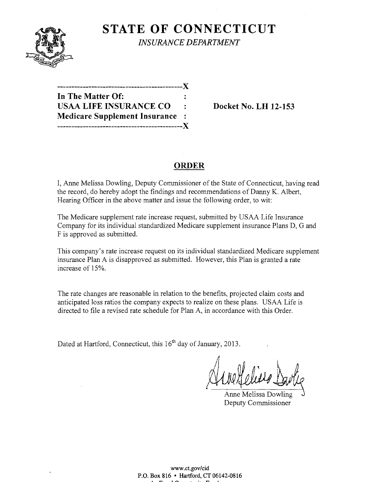

**STATE OF CONNECTICUT** 

*INSURANCE DEPARTMENT* 

| In The Matter Of:                     |        |
|---------------------------------------|--------|
| <b>USAA LIFE INSURANCE CO</b>         | $\sim$ |
| <b>Medicare Supplement Insurance:</b> |        |
|                                       |        |

Docket No. LH 12-153

## ORDER

I, Anne Melissa Dowling, Deputy Commissioner of the State of Connecticut, having read the record, do hereby adopt the findings and recommendations of Danny K. Albert, Hearing Officer in the above matter and issue the following order, to wit:

The Medicare supplement rate increase request, submitted by USAA Life Insurance Company for its individual standardized Medicare supplement insurance Plans D, G and F is approved as submitted.

This company's rate increase request on its individual standardized Medicare supplement insurance Plan A is disapproved as submitted. However, this Plan is granted a rate increase of 15%.

The rate changes are reasonable in relation to the benefits, projected claim costs and anticipated loss ratios the company expects to realize on these plans. USAA Life is directed to file a revised rate schedule for Plan A, in accordance with this Order.

Dated at Hartford, Connecticut, this 16<sup>th</sup> day of January, 2013.

/I

Anne Melissa Dowling Deputy Commissioner

www.ct.gov/cid P.O. Box 816 • Hartford, CT 06142-0816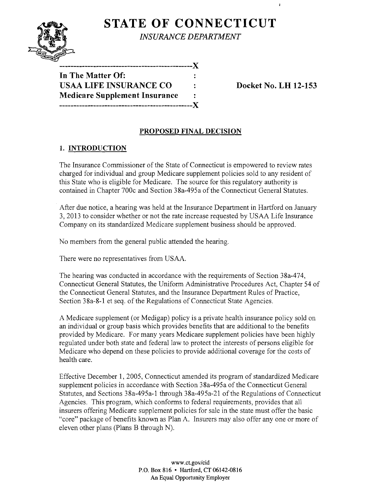# **STATE OF CONNECTICUT**

**-----------------------------------------------){** 



**In The Matter Of:**  USAA LIFE INSURANCE CO **Docket No. LH 12-153 Medicare Supplement Insurance -----------------------------------------------){** 

 $\ddot{\phantom{1}}$ 

### **PROPOSED FINAL DECISION**

## **1. INTRODUCTION**

The Insurance Commissioner of the State of Connecticut is empowered to review rates charged for individual and group Medicare supplement policies sold to any resident of this State who is eligible for Medicare. The source for this regulatory authority is contained in Chapter 700c and Section 38a-495a of the Connecticut General Statutes.

After due notice, a hearing was held at the Insurance Department in Hartford on January 3, 2013 to consider whether or not the rate increase requested by USAA Life Insurance Company on its standardized Medicare supplement business should be approved.

No members from the general public attended the hearing.

There were no representatives from USAA.

The hearing was conducted in accordance with the requirements of Section 38a-474, Connecticut General Statutes, the Uniform Administrative Procedures Act, Chapter 54 of the Connecticut General Statutes, and the Insurance Department Rules of Practice, Section 38a-8-1 et seq. of the Regulations of Connecticut State Agencies.

A Medicare supplement (or Medigap) policy is a private health insurance policy sold on an individual or group basis which provides benefits that are additional to the benefits provided by Medicare. For many years Medicare supplement policies have been highly regulated under both state and federal law to protect the interests of persons eligible for Medicare who depend on these policies to provide additional coverage for the costs of health care.

Effective December 1, 2005, Connecticut amended its program of standardized Medicare supplement policies in accordance with Section 38a-495a of the Connecticut General Statutes, and Sections 38a-495a-l through 38a-495a-21 of the Regulations of Connecticut Agencies. This program, which conforms to federal requirements, provides that all insurers offering Medicare supplement policies for sale in the state must offer the basic "core" package of benefIts known as Plan A. Insurers may also offer anyone or more of eleven other plans (Plans B through N).

> www.ct.gov/cid P.O. Box 816 • Hartford, CT 06142-0816 An Equal Opportunity Employer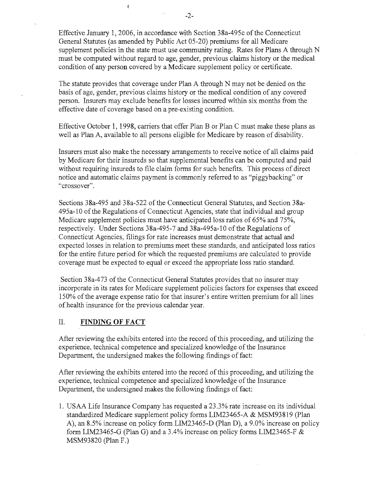Effective January 1,2006, in accordance with Section 38a-495c of the Connecticut General Statutes (as amended by Public Act 05-20) premiums for all Medicare supplement policies in the state must use community rating. Rates for Plans A through N must be computed without regard to age, gender, previous claims history or the medical condition of any person covered by a Medicare supplement policy or certificate.

The statute provides that coverage under Plan A through N may not be denied on the basis of age, gender, previous claims history or the medical condition of any covered person. Insurers may exclude benefits for losses incurred within six months from the effective date of coverage based on a pre-existing condition.

Effective October 1, 1998, carriers that offer Plan B or Plan C must make these plans as well as Plan A, available to all persons eligible for Medicare by reason of disability.

Insurers must also make the necessary arrangements to receive notice of all claims paid by Medicare for their insureds so that supplemental benefits can be computed and paid without requiring insureds to file claim forms for such benefits. This process of direct notice and automatic claims payment is commonly referred to as "piggybacking" or "crossover".

Sections 38a-495 and 38a-522 of the Connecticut General Statutes, and Section 38a-495a-lO of the Regulations of Connecticut Agencies, state that individual and group Medicare supplement policies must have anticipated loss ratios of 65% and 75%, respectively. Under Sections 38a-495-7 and 38a-495a-10 of the Regulations of Connecticut Agencies, filings for rate increases must demonstrate that actual and expected losses in relation to premiums meet these standards, and anticipated loss ratios for the entire future period for which the requested premiums are calculated to provide coverage must be expected to equal or exceed the appropriate loss ratio standard.

Section 38a-473 of the Connecticut General Statutes provides that no insurer may incorporate in its rates for Medicare supplement policies factors for expenses that exceed 150% of the average expense ratio for that insurer's entire written premium for all lines of health insurance for the previous calendar year.

#### II. **FINDING OF FACT**

After reviewing the exhibits entered into the record of this proceeding, and utilizing the experience, technical competence and specialized knowledge of the Insurance Department, the undersigned makes the following findings of fact:

After reviewing the exhibits entered into the record of this proceeding, and utilizing the experience, technical competence and specialized knowledge of the Insurance Department, the undersigned makes the following findings of fact:

1. USAA Life Insurance Company has requested a 23.3% rate increase on its individual standardized Medicare supplement policy forms LIM23465-A & MSM93819 (Plan A), an 8.5% increase on policy form LIM23465-D (Plan D), a 9.0% increase on policy form LIM23465-G (Plan G) and a 3.4% increase on policy forms LIM23465-F & MSM93820 (Plan F.)

 $\ddot{\mathbf{f}}$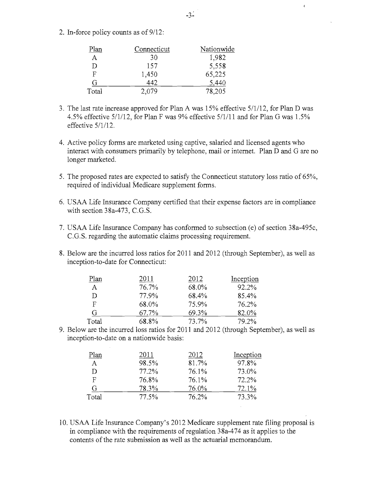2. In-force policy counts as of  $9/12$ :

| Plan  | Connecticut | Nationwide |
|-------|-------------|------------|
|       | 30          | 1,982      |
|       | 157         | 5,558      |
| F     | 1,450       | 65,225     |
| (÷    | 442         | 5.440      |
| Total | 2,079       | 78,205     |

- 3. The last rate increase approved for Plan A was 15% effective 5/1/12, for Plan D was 4.5% effective 5/1/12, for Plan F was 9% effective 5/1/11 and for Plan G was 1.5% effective 5/1/12.
- 4. Active policy forms are marketed using captive, salaried and licensed agents who interact with consumers primarily by telephone, mail or internet. Plan D and G are no longer marketed.
- 5. The proposed rates are expected to satisfy the Connecticut statutory loss ratio of 65%, required of individual Medicare supplement forms.
- 6. USAA Life Insurance Company certified that their expense factors are in compliance with section  $38a-473$ , C.G.S.
- 7. USAA Life Insurance Company has conformed to subsection (e) of section 38a-495c, C.G.S. regarding the automatic claims processing requirement.
- 8. Below are the incurred loss ratios for 2011 and 2012 (through September), as well as inception-to-date for Connecticut:

| 2011  | 2012  | Inception |
|-------|-------|-----------|
| 76.7% | 68.0% | 92.2%     |
| 77.9% | 68.4% | 85.4%     |
| 68.0% | 75.9% | 76.2%     |
| 67.7% | 69.3% | 82.0%     |
| 68.8% | 73.7% | 79.2%     |
|       |       |           |

9. Below are the incurred loss ratios for 2011 and 2012 (through September), as well as inception-to-date on a nationwide basis:

| Plan  | 2011     | 2012  | Inception |
|-------|----------|-------|-----------|
| A     | 98.5%    | 81.7% | 97.8%     |
| D     | $77.2\%$ | 76.1% | 73.0%     |
| F     | 76.8%    | 76.1% | 72.2%     |
| G     | 78.3%    | 76.0% | 72.1%     |
| Total | 77.5%    | 76.2% | 73.3%     |
|       |          |       |           |

10. USAA Life Insurance Company's 2012 Medicare supplement rate filing proposal is in compliance with the requirements of regulation  $38a-474$  as it applies to the contents of the rate submission as well as the actuarial memorandum.

 $\hat{\mathbf{r}}$